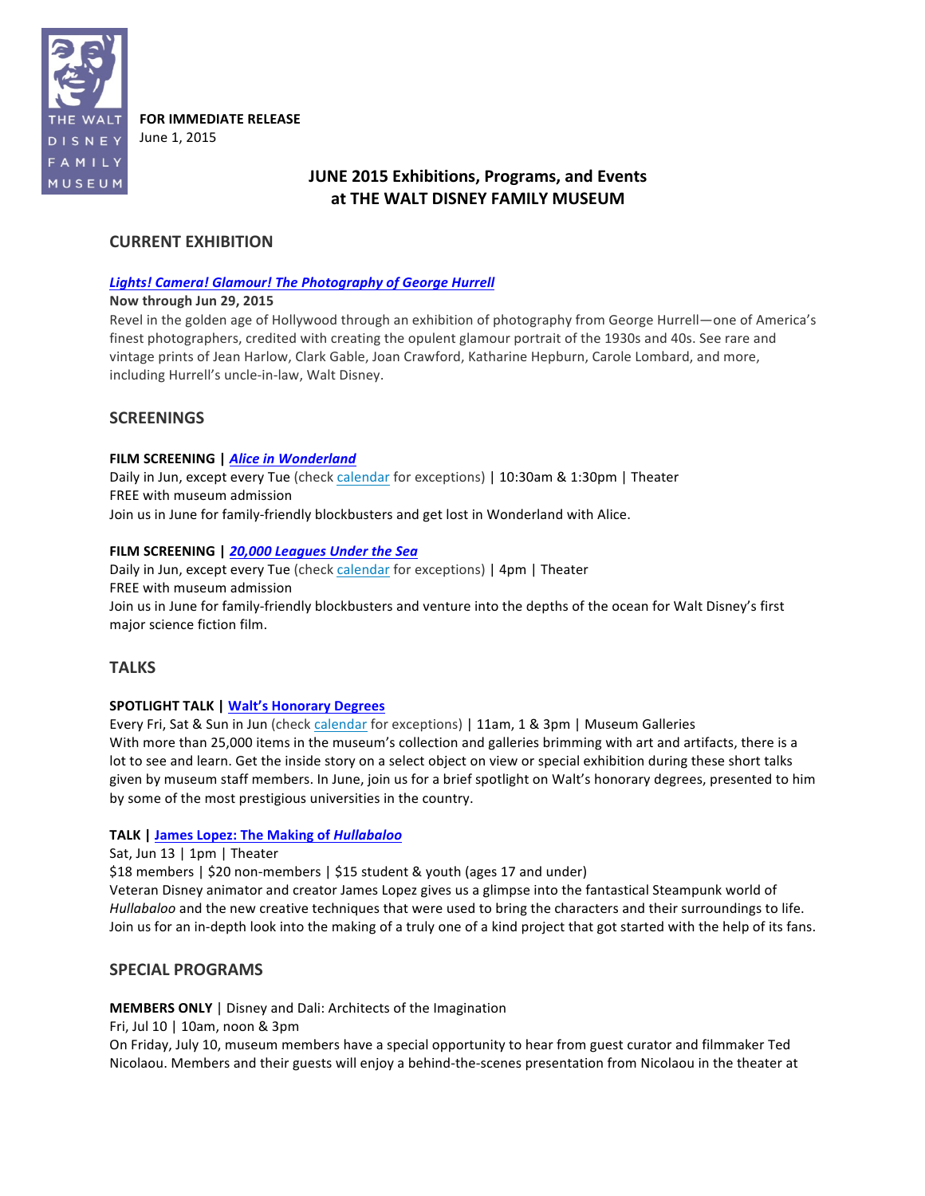

**FOR IMMEDIATE RELEASE** June 1, 2015

# **JUNE** 2015 Exhibitions, Programs, and Events at THE WALT DISNEY FAMILY MUSEUM

## **CURRENT EXHIBITION**

### **Lights! Camera! Glamour! The Photography of George Hurrell**

### **Now through Jun 29, 2015**

Revel in the golden age of Hollywood through an exhibition of photography from George Hurrell—one of America's finest photographers, credited with creating the opulent glamour portrait of the 1930s and 40s. See rare and vintage prints of Jean Harlow, Clark Gable, Joan Crawford, Katharine Hepburn, Carole Lombard, and more, including Hurrell's uncle-in-law, Walt Disney.

## **SCREENINGS**

### **FILM SCREENING | Alice in Wonderland**

Daily in Jun, except every Tue (check calendar for exceptions) | 10:30am & 1:30pm | Theater FREE with museum admission Join us in June for family-friendly blockbusters and get lost in Wonderland with Alice.

### FILM SCREENING | 20,000 Leagues Under the Sea

Daily in Jun, except every Tue (check calendar for exceptions) | 4pm | Theater FREE with museum admission Join us in June for family-friendly blockbusters and venture into the depths of the ocean for Walt Disney's first major science fiction film.

## **TALKS**

## **SPOTLIGHT TALK | Walt's Honorary Degrees**

Every Fri, Sat & Sun in Jun (check calendar for exceptions) | 11am, 1 & 3pm | Museum Galleries With more than 25,000 items in the museum's collection and galleries brimming with art and artifacts, there is a lot to see and learn. Get the inside story on a select object on view or special exhibition during these short talks given by museum staff members. In June, join us for a brief spotlight on Walt's honorary degrees, presented to him by some of the most prestigious universities in the country.

### **TALK | James Lopez: The Making of** *Hullabaloo*

Sat, Jun 13 | 1pm | Theater

\$18 members | \$20 non-members | \$15 student & youth (ages 17 and under)

Veteran Disney animator and creator James Lopez gives us a glimpse into the fantastical Steampunk world of *Hullabaloo* and the new creative techniques that were used to bring the characters and their surroundings to life. Join us for an in-depth look into the making of a truly one of a kind project that got started with the help of its fans.

## **SPECIAL PROGRAMS**

## **MEMBERS ONLY** | Disney and Dali: Architects of the Imagination

Fri, Jul  $10 \mid 10$ am, noon & 3pm

On Friday, July 10, museum members have a special opportunity to hear from guest curator and filmmaker Ted Nicolaou. Members and their guests will enjoy a behind-the-scenes presentation from Nicolaou in the theater at